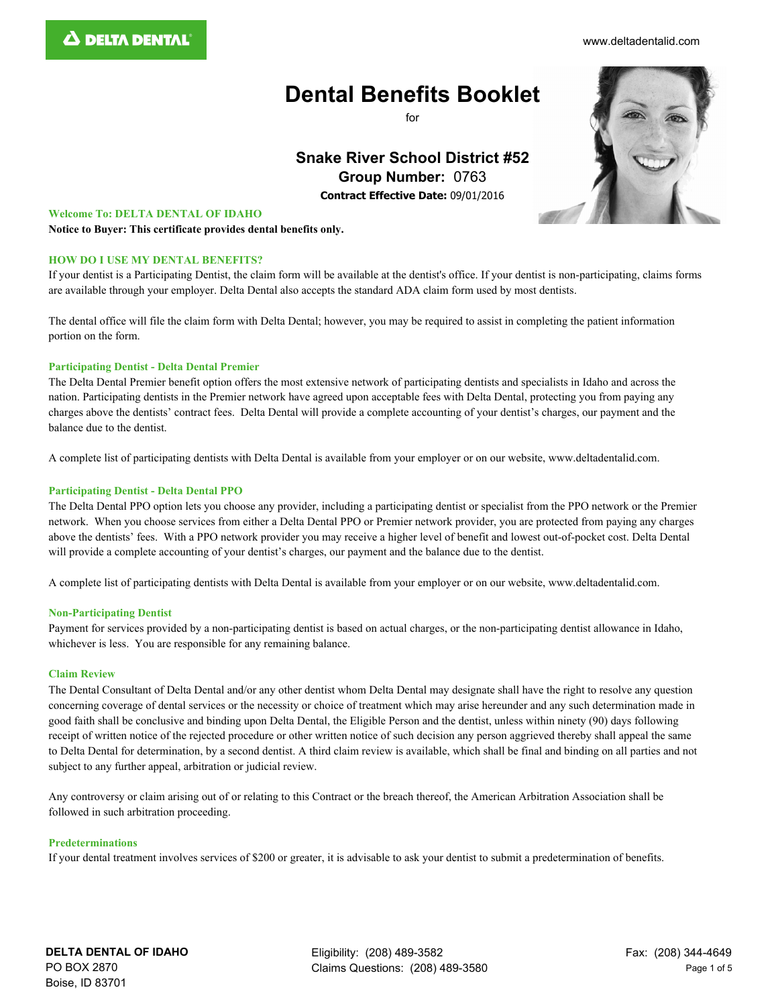#### [www.deltadentalid.com](http://www.deltadentalid.com/)

# **Dental Benefits Booklet**

 $f$ or

# **Snake River School District #52 Group Number:** 0763

**Contract Effective Date:** 09/01/2016

### **Welcome To: DELTA DENTAL OF IDAHO**

**Notice to Buyer: This certificate provides dental benefits only.**

### **HOW DO I USE MY DENTAL BENEFITS?**

If your dentist is a Participating Dentist, the claim form will be available at the dentist's office. If your dentist is non-participating, claims forms are available through your employer. Delta Dental also accepts the standard ADA claim form used by most dentists.

The dental office will file the claim form with Delta Dental; however, you may be required to assist in completing the patient information portion on the form.

### **Participating Dentist - Delta Dental Premier**

The Delta Dental Premier benefit option offers the most extensive network of participating dentists and specialists in Idaho and across the nation. Participating dentists in the Premier network have agreed upon acceptable fees with Delta Dental, protecting you from paying any charges above the dentists' contract fees. Delta Dental will provide a complete accounting of your dentist's charges, our payment and the balance due to the dentist.

A complete list of participating dentists with Delta Dental is available from your employer or on our website, www.deltadentalid.com.

# **Participating Dentist - Delta Dental PPO**

The Delta Dental PPO option lets you choose any provider, including a participating dentist or specialist from the PPO network or the Premier network. When you choose services from either a Delta Dental PPO or Premier network provider, you are protected from paying any charges above the dentists' fees. With a PPO network provider you may receive a higher level of benefit and lowest out-of-pocket cost. Delta Dental will provide a complete accounting of your dentist's charges, our payment and the balance due to the dentist.

A complete list of participating dentists with Delta Dental is available from your employer or on our website, www.deltadentalid.com.

#### **Non-Participating Dentist**

Payment for services provided by a non-participating dentist is based on actual charges, or the non-participating dentist allowance in Idaho, whichever is less. You are responsible for any remaining balance.

#### **Claim Review**

The Dental Consultant of Delta Dental and/or any other dentist whom Delta Dental may designate shall have the right to resolve any question concerning coverage of dental services or the necessity or choice of treatment which may arise hereunder and any such determination made in good faith shall be conclusive and binding upon Delta Dental, the Eligible Person and the dentist, unless within ninety (90) days following receipt of written notice of the rejected procedure or other written notice of such decision any person aggrieved thereby shall appeal the same to Delta Dental for determination, by a second dentist. A third claim review is available, which shall be final and binding on all parties and not subject to any further appeal, arbitration or judicial review.

Any controversy or claim arising out of or relating to this Contract or the breach thereof, the American Arbitration Association shall be followed in such arbitration proceeding.

#### **Predeterminations**

If your dental treatment involves services of \$200 or greater, it is advisable to ask your dentist to submit a predetermination of benefits.

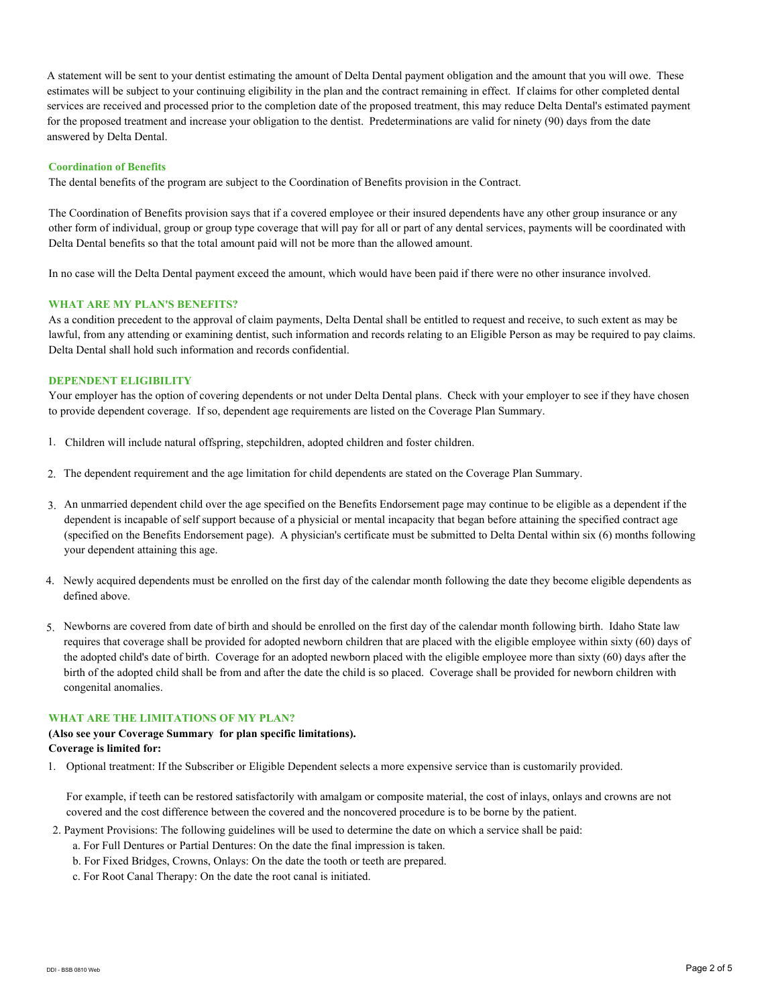A statement will be sent to your dentist estimating the amount of Delta Dental payment obligation and the amount that you will owe. These estimates will be subject to your continuing eligibility in the plan and the contract remaining in effect. If claims for other completed dental services are received and processed prior to the completion date of the proposed treatment, this may reduce Delta Dental's estimated payment for the proposed treatment and increase your obligation to the dentist. Predeterminations are valid for ninety (90) days from the date answered by Delta Dental.

## **Coordination of Benefits**

The dental benefits of the program are subject to the Coordination of Benefits provision in the Contract.

The Coordination of Benefits provision says that if a covered employee or their insured dependents have any other group insurance or any other form of individual, group or group type coverage that will pay for all or part of any dental services, payments will be coordinated with Delta Dental benefits so that the total amount paid will not be more than the allowed amount.

In no case will the Delta Dental payment exceed the amount, which would have been paid if there were no other insurance involved.

## **WHAT ARE MY PLAN'S BENEFITS?**

As a condition precedent to the approval of claim payments, Delta Dental shall be entitled to request and receive, to such extent as may be lawful, from any attending or examining dentist, such information and records relating to an Eligible Person as may be required to pay claims. Delta Dental shall hold such information and records confidential.

### **DEPENDENT ELIGIBILITY**

Your employer has the option of covering dependents or not under Delta Dental plans. Check with your employer to see if they have chosen to provide dependent coverage. If so, dependent age requirements are listed on the Coverage Plan Summary.

- 1. Children will include natural offspring, stepchildren, adopted children and foster children.
- 2. The dependent requirement and the age limitation for child dependents are stated on the Coverage Plan Summary.
- An unmarried dependent child over the age specified on the Benefits Endorsement page may continue to be eligible as a dependent if the 3. dependent is incapable of self support because of a physicial or mental incapacity that began before attaining the specified contract age (specified on the Benefits Endorsement page). A physician's certificate must be submitted to Delta Dental within six (6) months following your dependent attaining this age.
- 4. Newly acquired dependents must be enrolled on the first day of the calendar month following the date they become eligible dependents as defined above.
- 5. Newborns are covered from date of birth and should be enrolled on the first day of the calendar month following birth. Idaho State law requires that coverage shall be provided for adopted newborn children that are placed with the eligible employee within sixty (60) days of the adopted child's date of birth. Coverage for an adopted newborn placed with the eligible employee more than sixty (60) days after the birth of the adopted child shall be from and after the date the child is so placed. Coverage shall be provided for newborn children with congenital anomalies.

# **WHAT ARE THE LIMITATIONS OF MY PLAN?**

# **(Also see your Coverage Summary for plan specific limitations). Coverage is limited for:**

1. Optional treatment: If the Subscriber or Eligible Dependent selects a more expensive service than is customarily provided.

For example, if teeth can be restored satisfactorily with amalgam or composite material, the cost of inlays, onlays and crowns are not covered and the cost difference between the covered and the noncovered procedure is to be borne by the patient.

- 2. Payment Provisions: The following guidelines will be used to determine the date on which a service shall be paid:
	- a. For Full Dentures or Partial Dentures: On the date the final impression is taken.
	- b. For Fixed Bridges, Crowns, Onlays: On the date the tooth or teeth are prepared.
	- c. For Root Canal Therapy: On the date the root canal is initiated.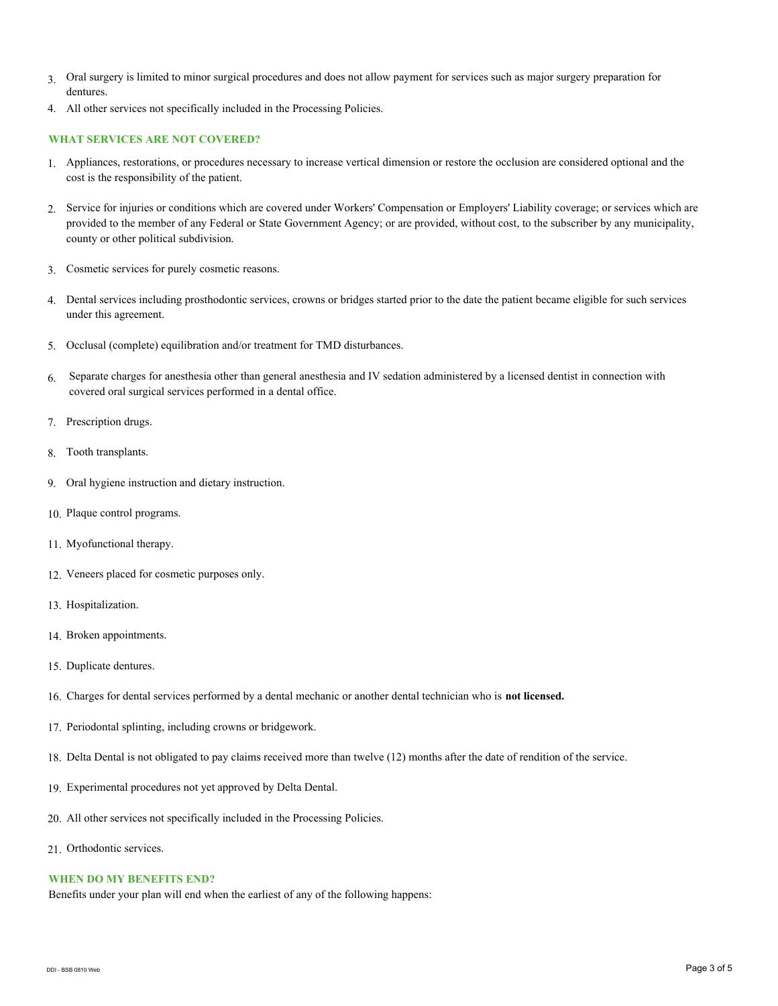- 3. Oral surgery is limited to minor surgical procedures and does not allow payment for services such as major surgery preparation for dentures.
- 4. All other services not specifically included in the Processing Policies.

# **WHAT SERVICES ARE NOT COVERED?**

- Appliances, restorations, or procedures necessary to increase vertical dimension or restore the occlusion are considered optional and the 1. cost is the responsibility of the patient.
- 2. Service for injuries or conditions which are covered under Workers' Compensation or Employers' Liability coverage; or services which are provided to the member of any Federal or State Government Agency; or are provided, without cost, to the subscriber by any municipality, county or other political subdivision.
- 3. Cosmetic services for purely cosmetic reasons.
- 4. Dental services including prosthodontic services, crowns or bridges started prior to the date the patient became eligible for such services under this agreement.
- 5. Occlusal (complete) equilibration and/or treatment for TMD disturbances.
- 6. Separate charges for anesthesia other than general anesthesia and IV sedation administered by a licensed dentist in connection with covered oral surgical services performed in a dental office.
- 7. Prescription drugs.
- 8. Tooth transplants.
- 9. Oral hygiene instruction and dietary instruction.
- 10. Plaque control programs.
- 11. Myofunctional therapy.
- 12. Veneers placed for cosmetic purposes only.
- 13. Hospitalization.
- 14. Broken appointments.
- 15. Duplicate dentures.
- 16. Charges for dental services performed by a dental mechanic or another dental technician who is **not licensed.**
- 17. Periodontal splinting, including crowns or bridgework.
- 18. Delta Dental is not obligated to pay claims received more than twelve (12) months after the date of rendition of the service.
- 19. Experimental procedures not yet approved by Delta Dental.
- 20. All other services not specifically included in the Processing Policies.
- 21. Orthodontic services.

#### **WHEN DO MY BENEFITS END?**

Benefits under your plan will end when the earliest of any of the following happens: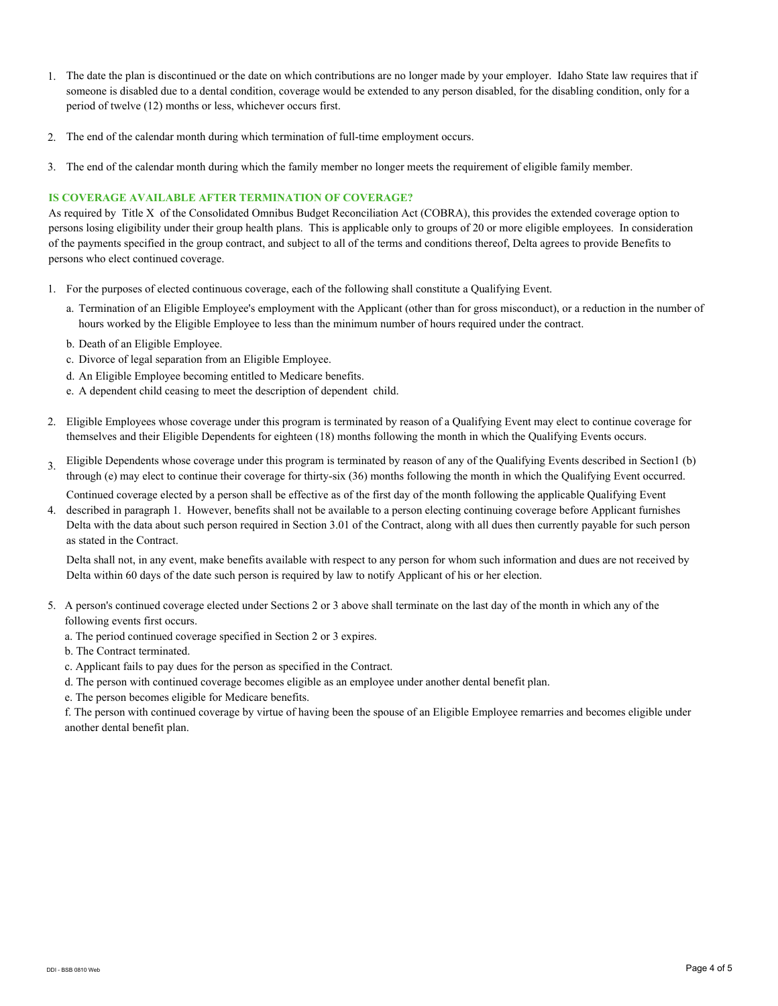- 1. The date the plan is discontinued or the date on which contributions are no longer made by your employer. Idaho State law requires that if someone is disabled due to a dental condition, coverage would be extended to any person disabled, for the disabling condition, only for a period of twelve (12) months or less, whichever occurs first.
- 2. The end of the calendar month during which termination of full-time employment occurs.
- 3. The end of the calendar month during which the family member no longer meets the requirement of eligible family member.

## **IS COVERAGE AVAILABLE AFTER TERMINATION OF COVERAGE?**

As required by Title X of the Consolidated Omnibus Budget Reconciliation Act (COBRA), this provides the extended coverage option to persons losing eligibility under their group health plans. This is applicable only to groups of 20 or more eligible employees. In consideration of the payments specified in the group contract, and subject to all of the terms and conditions thereof, Delta agrees to provide Benefits to persons who elect continued coverage.

- 1. For the purposes of elected continuous coverage, each of the following shall constitute a Qualifying Event.
	- a. Termination of an Eligible Employee's employment with the Applicant (other than for gross misconduct), or a reduction in the number of hours worked by the Eligible Employee to less than the minimum number of hours required under the contract.
	- b. Death of an Eligible Employee.
	- c. Divorce of legal separation from an Eligible Employee.
	- d. An Eligible Employee becoming entitled to Medicare benefits.
	- e. A dependent child ceasing to meet the description of dependent child.
- 2. Eligible Employees whose coverage under this program is terminated by reason of a Qualifying Event may elect to continue coverage for themselves and their Eligible Dependents for eighteen (18) months following the month in which the Qualifying Events occurs.
- Eligible Dependents whose coverage under this program is terminated by reason of any of the Qualifying Events described in Section1 (b) through (e) may elect to continue their coverage for thirty-six (36) months following the month in which the Qualifying Event occurred. 3. Continued coverage elected by a person shall be effective as of the first day of the month following the applicable Qualifying Event
- described in paragraph 1. However, benefits shall not be available to a person electing continuing coverage before Applicant furnishes Delta with the data about such person required in Section 3.01 of the Contract, along with all dues then currently payable for such person as stated in the Contract. 4.

Delta shall not, in any event, make benefits available with respect to any person for whom such information and dues are not received by Delta within 60 days of the date such person is required by law to notify Applicant of his or her election.

- 5. A person's continued coverage elected under Sections 2 or 3 above shall terminate on the last day of the month in which any of the following events first occurs.
	- a. The period continued coverage specified in Section 2 or 3 expires.
	- b. The Contract terminated.
	- c. Applicant fails to pay dues for the person as specified in the Contract.
	- d. The person with continued coverage becomes eligible as an employee under another dental benefit plan.
	- e. The person becomes eligible for Medicare benefits.

f. The person with continued coverage by virtue of having been the spouse of an Eligible Employee remarries and becomes eligible under another dental benefit plan.